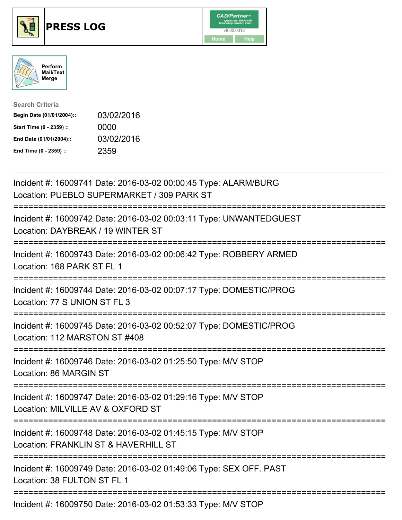





| <b>Search Criteria</b>    |            |
|---------------------------|------------|
| Begin Date (01/01/2004):: | 03/02/2016 |
| Start Time (0 - 2359) ::  | 0000       |
| End Date (01/01/2004)::   | 03/02/2016 |
| End Time (0 - 2359) ::    | 2359       |

| Incident #: 16009741 Date: 2016-03-02 00:00:45 Type: ALARM/BURG<br>Location: PUEBLO SUPERMARKET / 309 PARK ST                     |
|-----------------------------------------------------------------------------------------------------------------------------------|
| Incident #: 16009742 Date: 2016-03-02 00:03:11 Type: UNWANTEDGUEST<br>Location: DAYBREAK / 19 WINTER ST                           |
| Incident #: 16009743 Date: 2016-03-02 00:06:42 Type: ROBBERY ARMED<br>Location: 168 PARK ST FL 1                                  |
| Incident #: 16009744 Date: 2016-03-02 00:07:17 Type: DOMESTIC/PROG<br>Location: 77 S UNION ST FL 3                                |
| Incident #: 16009745 Date: 2016-03-02 00:52:07 Type: DOMESTIC/PROG<br>Location: 112 MARSTON ST #408                               |
| Incident #: 16009746 Date: 2016-03-02 01:25:50 Type: M/V STOP<br>Location: 86 MARGIN ST                                           |
| Incident #: 16009747 Date: 2016-03-02 01:29:16 Type: M/V STOP<br>Location: MILVILLE AV & OXFORD ST<br>;========================== |
| Incident #: 16009748 Date: 2016-03-02 01:45:15 Type: M/V STOP<br>Location: FRANKLIN ST & HAVERHILL ST<br>======================== |
| Incident #: 16009749 Date: 2016-03-02 01:49:06 Type: SEX OFF. PAST<br>Location: 38 FULTON ST FL 1                                 |
| Incident #: 16009750 Date: 2016-03-02 01:53:33 Type: M/V STOP                                                                     |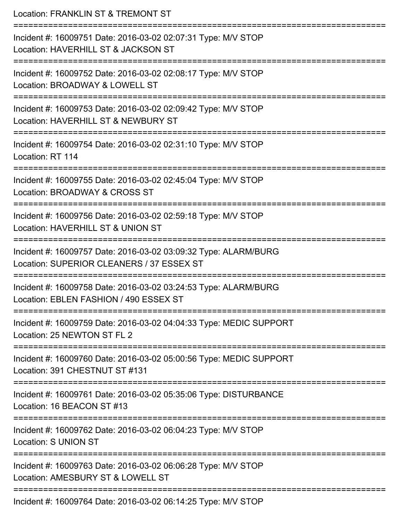| Location: FRANKLIN ST & TREMONT ST                                                                                        |
|---------------------------------------------------------------------------------------------------------------------------|
| Incident #: 16009751 Date: 2016-03-02 02:07:31 Type: M/V STOP<br>Location: HAVERHILL ST & JACKSON ST<br>================= |
| Incident #: 16009752 Date: 2016-03-02 02:08:17 Type: M/V STOP<br>Location: BROADWAY & LOWELL ST                           |
| Incident #: 16009753 Date: 2016-03-02 02:09:42 Type: M/V STOP<br>Location: HAVERHILL ST & NEWBURY ST                      |
| Incident #: 16009754 Date: 2016-03-02 02:31:10 Type: M/V STOP<br>Location: RT 114                                         |
| Incident #: 16009755 Date: 2016-03-02 02:45:04 Type: M/V STOP<br>Location: BROADWAY & CROSS ST<br>-------------------     |
| Incident #: 16009756 Date: 2016-03-02 02:59:18 Type: M/V STOP<br>Location: HAVERHILL ST & UNION ST                        |
| Incident #: 16009757 Date: 2016-03-02 03:09:32 Type: ALARM/BURG<br>Location: SUPERIOR CLEANERS / 37 ESSEX ST              |
| Incident #: 16009758 Date: 2016-03-02 03:24:53 Type: ALARM/BURG<br>Location: EBLEN FASHION / 490 ESSEX ST                 |
| Incident #: 16009759 Date: 2016-03-02 04:04:33 Type: MEDIC SUPPORT<br>Location: 25 NEWTON ST FL 2                         |
| Incident #: 16009760 Date: 2016-03-02 05:00:56 Type: MEDIC SUPPORT<br>Location: 391 CHESTNUT ST #131                      |
| Incident #: 16009761 Date: 2016-03-02 05:35:06 Type: DISTURBANCE<br>Location: 16 BEACON ST #13                            |
| Incident #: 16009762 Date: 2016-03-02 06:04:23 Type: M/V STOP<br><b>Location: S UNION ST</b>                              |
| Incident #: 16009763 Date: 2016-03-02 06:06:28 Type: M/V STOP<br>Location: AMESBURY ST & LOWELL ST                        |
| Incident #: 16009764 Date: 2016-03-02 06:14:25 Type: M/V STOP                                                             |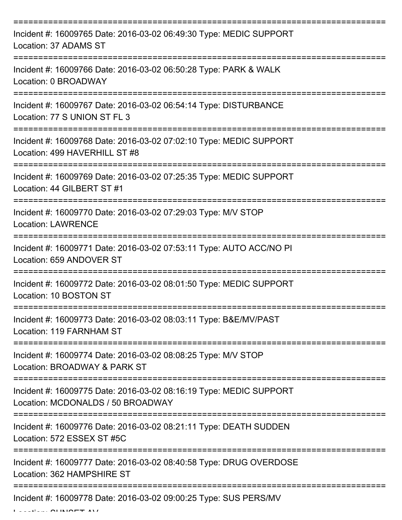| Incident #: 16009765 Date: 2016-03-02 06:49:30 Type: MEDIC SUPPORT<br>Location: 37 ADAMS ST                        |
|--------------------------------------------------------------------------------------------------------------------|
| Incident #: 16009766 Date: 2016-03-02 06:50:28 Type: PARK & WALK<br>Location: 0 BROADWAY                           |
| Incident #: 16009767 Date: 2016-03-02 06:54:14 Type: DISTURBANCE<br>Location: 77 S UNION ST FL 3                   |
| Incident #: 16009768 Date: 2016-03-02 07:02:10 Type: MEDIC SUPPORT<br>Location: 499 HAVERHILL ST #8                |
| Incident #: 16009769 Date: 2016-03-02 07:25:35 Type: MEDIC SUPPORT<br>Location: 44 GILBERT ST #1<br>============== |
| Incident #: 16009770 Date: 2016-03-02 07:29:03 Type: M/V STOP<br><b>Location: LAWRENCE</b>                         |
| Incident #: 16009771 Date: 2016-03-02 07:53:11 Type: AUTO ACC/NO PI<br>Location: 659 ANDOVER ST                    |
| Incident #: 16009772 Date: 2016-03-02 08:01:50 Type: MEDIC SUPPORT<br>Location: 10 BOSTON ST                       |
| Incident #: 16009773 Date: 2016-03-02 08:03:11 Type: B&E/MV/PAST<br>Location: 119 FARNHAM ST                       |
| Incident #: 16009774 Date: 2016-03-02 08:08:25 Type: M/V STOP<br>Location: BROADWAY & PARK ST                      |
| Incident #: 16009775 Date: 2016-03-02 08:16:19 Type: MEDIC SUPPORT<br>Location: MCDONALDS / 50 BROADWAY            |
| Incident #: 16009776 Date: 2016-03-02 08:21:11 Type: DEATH SUDDEN<br>Location: 572 ESSEX ST #5C                    |
| Incident #: 16009777 Date: 2016-03-02 08:40:58 Type: DRUG OVERDOSE<br>Location: 362 HAMPSHIRE ST                   |
| Incident #: 16009778 Date: 2016-03-02 09:00:25 Type: SUS PERS/MV                                                   |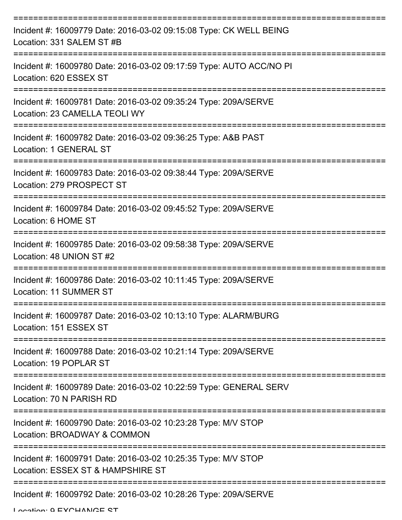| Incident #: 16009779 Date: 2016-03-02 09:15:08 Type: CK WELL BEING<br>Location: 331 SALEM ST #B    |
|----------------------------------------------------------------------------------------------------|
| Incident #: 16009780 Date: 2016-03-02 09:17:59 Type: AUTO ACC/NO PI<br>Location: 620 ESSEX ST      |
| Incident #: 16009781 Date: 2016-03-02 09:35:24 Type: 209A/SERVE<br>Location: 23 CAMELLA TEOLI WY   |
| Incident #: 16009782 Date: 2016-03-02 09:36:25 Type: A&B PAST<br>Location: 1 GENERAL ST            |
| Incident #: 16009783 Date: 2016-03-02 09:38:44 Type: 209A/SERVE<br>Location: 279 PROSPECT ST       |
| Incident #: 16009784 Date: 2016-03-02 09:45:52 Type: 209A/SERVE<br>Location: 6 HOME ST             |
| Incident #: 16009785 Date: 2016-03-02 09:58:38 Type: 209A/SERVE<br>Location: 48 UNION ST #2        |
| Incident #: 16009786 Date: 2016-03-02 10:11:45 Type: 209A/SERVE<br>Location: 11 SUMMER ST          |
| Incident #: 16009787 Date: 2016-03-02 10:13:10 Type: ALARM/BURG<br>Location: 151 ESSEX ST          |
| Incident #: 16009788 Date: 2016-03-02 10:21:14 Type: 209A/SERVE<br>Location: 19 POPLAR ST          |
| Incident #: 16009789 Date: 2016-03-02 10:22:59 Type: GENERAL SERV<br>Location: 70 N PARISH RD      |
| Incident #: 16009790 Date: 2016-03-02 10:23:28 Type: M/V STOP<br>Location: BROADWAY & COMMON       |
| Incident #: 16009791 Date: 2016-03-02 10:25:35 Type: M/V STOP<br>Location: ESSEX ST & HAMPSHIRE ST |
| Incident #: 16009792 Date: 2016-03-02 10:28:26 Type: 209A/SERVE                                    |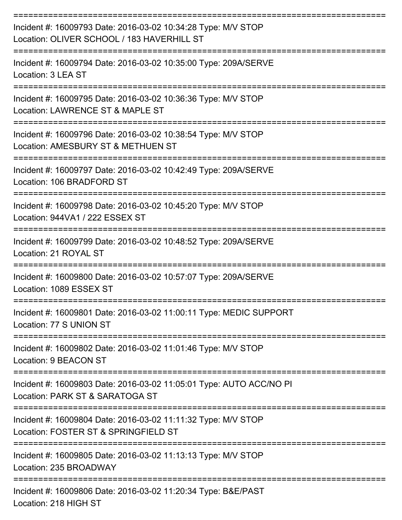| Incident #: 16009793 Date: 2016-03-02 10:34:28 Type: M/V STOP<br>Location: OLIVER SCHOOL / 183 HAVERHILL ST |
|-------------------------------------------------------------------------------------------------------------|
| Incident #: 16009794 Date: 2016-03-02 10:35:00 Type: 209A/SERVE<br>Location: 3 LEA ST                       |
| Incident #: 16009795 Date: 2016-03-02 10:36:36 Type: M/V STOP<br>Location: LAWRENCE ST & MAPLE ST           |
| Incident #: 16009796 Date: 2016-03-02 10:38:54 Type: M/V STOP<br>Location: AMESBURY ST & METHUEN ST         |
| Incident #: 16009797 Date: 2016-03-02 10:42:49 Type: 209A/SERVE<br>Location: 106 BRADFORD ST                |
| Incident #: 16009798 Date: 2016-03-02 10:45:20 Type: M/V STOP<br>Location: 944VA1 / 222 ESSEX ST            |
| Incident #: 16009799 Date: 2016-03-02 10:48:52 Type: 209A/SERVE<br>Location: 21 ROYAL ST                    |
| Incident #: 16009800 Date: 2016-03-02 10:57:07 Type: 209A/SERVE<br>Location: 1089 ESSEX ST                  |
| Incident #: 16009801 Date: 2016-03-02 11:00:11 Type: MEDIC SUPPORT<br>Location: 77 S UNION ST               |
| ----------------<br>Incident #: 16009802 Date: 2016-03-02 11:01:46 Type: M/V STOP<br>Location: 9 BEACON ST  |
| Incident #: 16009803 Date: 2016-03-02 11:05:01 Type: AUTO ACC/NO PI<br>Location: PARK ST & SARATOGA ST      |
| Incident #: 16009804 Date: 2016-03-02 11:11:32 Type: M/V STOP<br>Location: FOSTER ST & SPRINGFIELD ST       |
| Incident #: 16009805 Date: 2016-03-02 11:13:13 Type: M/V STOP<br>Location: 235 BROADWAY                     |
| Incident #: 16009806 Date: 2016-03-02 11:20:34 Type: B&E/PAST<br>Location: 218 HIGH ST                      |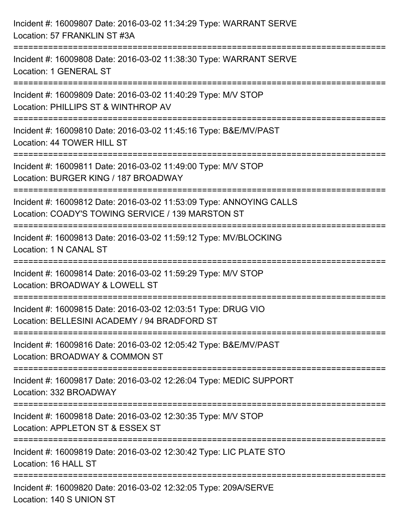| Incident #: 16009807 Date: 2016-03-02 11:34:29 Type: WARRANT SERVE<br>Location: 57 FRANKLIN ST #3A                              |
|---------------------------------------------------------------------------------------------------------------------------------|
| Incident #: 16009808 Date: 2016-03-02 11:38:30 Type: WARRANT SERVE<br>Location: 1 GENERAL ST                                    |
| Incident #: 16009809 Date: 2016-03-02 11:40:29 Type: M/V STOP<br>Location: PHILLIPS ST & WINTHROP AV<br>======================= |
| Incident #: 16009810 Date: 2016-03-02 11:45:16 Type: B&E/MV/PAST<br>Location: 44 TOWER HILL ST                                  |
| Incident #: 16009811 Date: 2016-03-02 11:49:00 Type: M/V STOP<br>Location: BURGER KING / 187 BROADWAY                           |
| Incident #: 16009812 Date: 2016-03-02 11:53:09 Type: ANNOYING CALLS<br>Location: COADY'S TOWING SERVICE / 139 MARSTON ST        |
| :=====================<br>Incident #: 16009813 Date: 2016-03-02 11:59:12 Type: MV/BLOCKING<br>Location: 1 N CANAL ST            |
| Incident #: 16009814 Date: 2016-03-02 11:59:29 Type: M/V STOP<br>Location: BROADWAY & LOWELL ST                                 |
| Incident #: 16009815 Date: 2016-03-02 12:03:51 Type: DRUG VIO<br>Location: BELLESINI ACADEMY / 94 BRADFORD ST                   |
| Incident #: 16009816 Date: 2016-03-02 12:05:42 Type: B&E/MV/PAST<br>Location: BROADWAY & COMMON ST                              |
| Incident #: 16009817 Date: 2016-03-02 12:26:04 Type: MEDIC SUPPORT<br>Location: 332 BROADWAY                                    |
| Incident #: 16009818 Date: 2016-03-02 12:30:35 Type: M/V STOP<br>Location: APPLETON ST & ESSEX ST                               |
| Incident #: 16009819 Date: 2016-03-02 12:30:42 Type: LIC PLATE STO<br>Location: 16 HALL ST                                      |
| Incident #: 16009820 Date: 2016-03-02 12:32:05 Type: 209A/SERVE<br>Location: 140 S UNION ST                                     |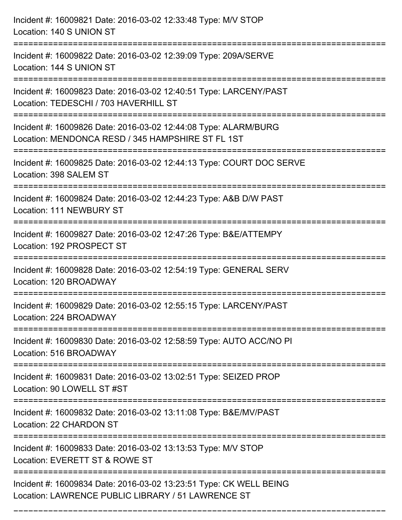| Incident #: 16009821 Date: 2016-03-02 12:33:48 Type: M/V STOP<br>Location: 140 S UNION ST                                |
|--------------------------------------------------------------------------------------------------------------------------|
| Incident #: 16009822 Date: 2016-03-02 12:39:09 Type: 209A/SERVE<br>Location: 144 S UNION ST                              |
| Incident #: 16009823 Date: 2016-03-02 12:40:51 Type: LARCENY/PAST<br>Location: TEDESCHI / 703 HAVERHILL ST               |
| Incident #: 16009826 Date: 2016-03-02 12:44:08 Type: ALARM/BURG<br>Location: MENDONCA RESD / 345 HAMPSHIRE ST FL 1ST     |
| Incident #: 16009825 Date: 2016-03-02 12:44:13 Type: COURT DOC SERVE<br>Location: 398 SALEM ST                           |
| Incident #: 16009824 Date: 2016-03-02 12:44:23 Type: A&B D/W PAST<br>Location: 111 NEWBURY ST                            |
| Incident #: 16009827 Date: 2016-03-02 12:47:26 Type: B&E/ATTEMPY<br>Location: 192 PROSPECT ST<br>=============           |
| Incident #: 16009828 Date: 2016-03-02 12:54:19 Type: GENERAL SERV<br>Location: 120 BROADWAY                              |
| Incident #: 16009829 Date: 2016-03-02 12:55:15 Type: LARCENY/PAST<br>Location: 224 BROADWAY                              |
| Incident #: 16009830 Date: 2016-03-02 12:58:59 Type: AUTO ACC/NO PI<br>Location: 516 BROADWAY                            |
| Incident #: 16009831 Date: 2016-03-02 13:02:51 Type: SEIZED PROP<br>Location: 90 LOWELL ST #ST                           |
| Incident #: 16009832 Date: 2016-03-02 13:11:08 Type: B&E/MV/PAST<br>Location: 22 CHARDON ST                              |
| Incident #: 16009833 Date: 2016-03-02 13:13:53 Type: M/V STOP<br>Location: EVERETT ST & ROWE ST                          |
| Incident #: 16009834 Date: 2016-03-02 13:23:51 Type: CK WELL BEING<br>Location: LAWRENCE PUBLIC LIBRARY / 51 LAWRENCE ST |

===========================================================================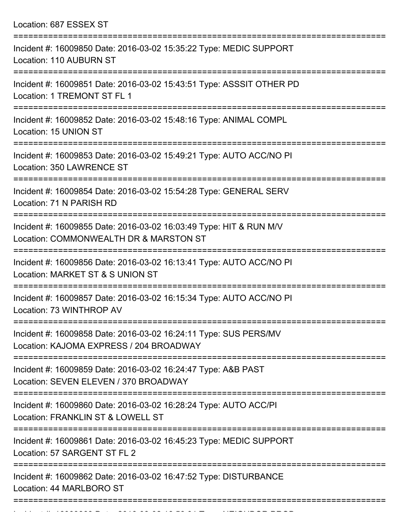Location: 687 ESSEX ST

| Incident #: 16009850 Date: 2016-03-02 15:35:22 Type: MEDIC SUPPORT<br>Location: 110 AUBURN ST                |
|--------------------------------------------------------------------------------------------------------------|
| Incident #: 16009851 Date: 2016-03-02 15:43:51 Type: ASSSIT OTHER PD<br>Location: 1 TREMONT ST FL 1          |
| Incident #: 16009852 Date: 2016-03-02 15:48:16 Type: ANIMAL COMPL<br>Location: 15 UNION ST                   |
| Incident #: 16009853 Date: 2016-03-02 15:49:21 Type: AUTO ACC/NO PI<br>Location: 350 LAWRENCE ST             |
| Incident #: 16009854 Date: 2016-03-02 15:54:28 Type: GENERAL SERV<br>Location: 71 N PARISH RD                |
| Incident #: 16009855 Date: 2016-03-02 16:03:49 Type: HIT & RUN M/V<br>Location: COMMONWEALTH DR & MARSTON ST |
| Incident #: 16009856 Date: 2016-03-02 16:13:41 Type: AUTO ACC/NO PI<br>Location: MARKET ST & S UNION ST      |
| Incident #: 16009857 Date: 2016-03-02 16:15:34 Type: AUTO ACC/NO PI<br>Location: 73 WINTHROP AV              |
| Incident #: 16009858 Date: 2016-03-02 16:24:11 Type: SUS PERS/MV<br>Location: KAJOMA EXPRESS / 204 BROADWAY  |
| Incident #: 16009859 Date: 2016-03-02 16:24:47 Type: A&B PAST<br>Location: SEVEN ELEVEN / 370 BROADWAY       |
| Incident #: 16009860 Date: 2016-03-02 16:28:24 Type: AUTO ACC/PI<br>Location: FRANKLIN ST & LOWELL ST        |
| Incident #: 16009861 Date: 2016-03-02 16:45:23 Type: MEDIC SUPPORT<br>Location: 57 SARGENT ST FL 2           |
| Incident #: 16009862 Date: 2016-03-02 16:47:52 Type: DISTURBANCE<br>Location: 44 MARLBORO ST                 |
|                                                                                                              |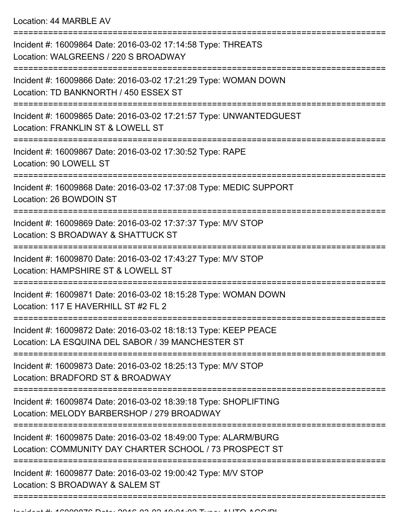Location: 44 MARBLE AV

| Incident #: 16009864 Date: 2016-03-02 17:14:58 Type: THREATS<br>Location: WALGREENS / 220 S BROADWAY                       |
|----------------------------------------------------------------------------------------------------------------------------|
| Incident #: 16009866 Date: 2016-03-02 17:21:29 Type: WOMAN DOWN<br>Location: TD BANKNORTH / 450 ESSEX ST                   |
| Incident #: 16009865 Date: 2016-03-02 17:21:57 Type: UNWANTEDGUEST<br>Location: FRANKLIN ST & LOWELL ST                    |
| Incident #: 16009867 Date: 2016-03-02 17:30:52 Type: RAPE<br>Location: 90 LOWELL ST                                        |
| Incident #: 16009868 Date: 2016-03-02 17:37:08 Type: MEDIC SUPPORT<br>Location: 26 BOWDOIN ST                              |
| Incident #: 16009869 Date: 2016-03-02 17:37:37 Type: M/V STOP<br>Location: S BROADWAY & SHATTUCK ST<br>----------------    |
| Incident #: 16009870 Date: 2016-03-02 17:43:27 Type: M/V STOP<br>Location: HAMPSHIRE ST & LOWELL ST                        |
| Incident #: 16009871 Date: 2016-03-02 18:15:28 Type: WOMAN DOWN<br>Location: 117 E HAVERHILL ST #2 FL 2                    |
| Incident #: 16009872 Date: 2016-03-02 18:18:13 Type: KEEP PEACE<br>Location: LA ESQUINA DEL SABOR / 39 MANCHESTER ST       |
| Incident #: 16009873 Date: 2016-03-02 18:25:13 Type: M/V STOP<br>Location: BRADFORD ST & BROADWAY                          |
| Incident #: 16009874 Date: 2016-03-02 18:39:18 Type: SHOPLIFTING<br>Location: MELODY BARBERSHOP / 279 BROADWAY             |
| Incident #: 16009875 Date: 2016-03-02 18:49:00 Type: ALARM/BURG<br>Location: COMMUNITY DAY CHARTER SCHOOL / 73 PROSPECT ST |
| Incident #: 16009877 Date: 2016-03-02 19:00:42 Type: M/V STOP<br>Location: S BROADWAY & SALEM ST                           |
|                                                                                                                            |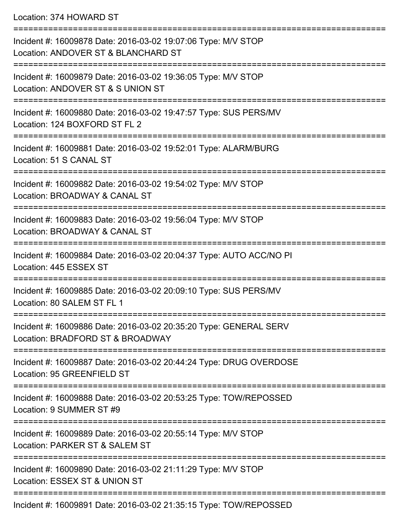Location: 374 HOWARD ST

| Incident #: 16009878 Date: 2016-03-02 19:07:06 Type: M/V STOP<br>Location: ANDOVER ST & BLANCHARD ST  |
|-------------------------------------------------------------------------------------------------------|
| Incident #: 16009879 Date: 2016-03-02 19:36:05 Type: M/V STOP<br>Location: ANDOVER ST & S UNION ST    |
| Incident #: 16009880 Date: 2016-03-02 19:47:57 Type: SUS PERS/MV<br>Location: 124 BOXFORD ST FL 2     |
| Incident #: 16009881 Date: 2016-03-02 19:52:01 Type: ALARM/BURG<br>Location: 51 S CANAL ST            |
| Incident #: 16009882 Date: 2016-03-02 19:54:02 Type: M/V STOP<br>Location: BROADWAY & CANAL ST        |
| Incident #: 16009883 Date: 2016-03-02 19:56:04 Type: M/V STOP<br>Location: BROADWAY & CANAL ST        |
| Incident #: 16009884 Date: 2016-03-02 20:04:37 Type: AUTO ACC/NO PI<br>Location: 445 ESSEX ST         |
| Incident #: 16009885 Date: 2016-03-02 20:09:10 Type: SUS PERS/MV<br>Location: 80 SALEM ST FL 1        |
| Incident #: 16009886 Date: 2016-03-02 20:35:20 Type: GENERAL SERV<br>Location: BRADFORD ST & BROADWAY |
| Incident #: 16009887 Date: 2016-03-02 20:44:24 Type: DRUG OVERDOSE<br>Location: 95 GREENFIELD ST      |
| Incident #: 16009888 Date: 2016-03-02 20:53:25 Type: TOW/REPOSSED<br>Location: 9 SUMMER ST #9         |
| Incident #: 16009889 Date: 2016-03-02 20:55:14 Type: M/V STOP<br>Location: PARKER ST & SALEM ST       |
| Incident #: 16009890 Date: 2016-03-02 21:11:29 Type: M/V STOP<br>Location: ESSEX ST & UNION ST        |
|                                                                                                       |

Incident #: 16009891 Date: 2016-03-02 21:35:15 Type: TOW/REPOSSED